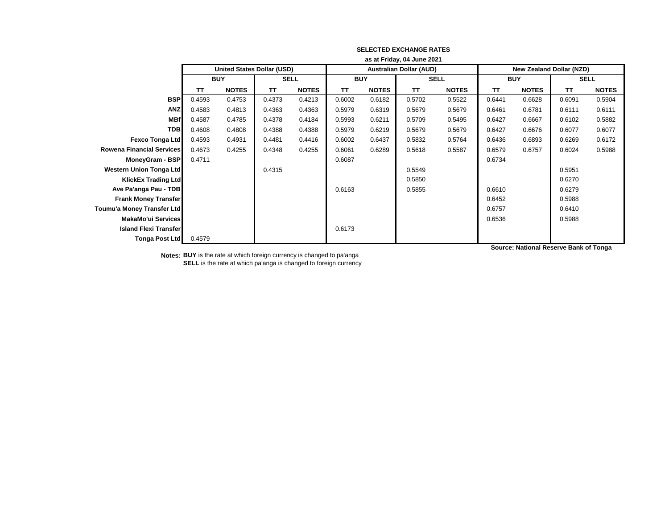|                                   | as at Friday, 04 June 2021 |                            |             |              |            |              |                                |              |                                 |              |             |              |
|-----------------------------------|----------------------------|----------------------------|-------------|--------------|------------|--------------|--------------------------------|--------------|---------------------------------|--------------|-------------|--------------|
|                                   |                            | United States Dollar (USD) |             |              |            |              | <b>Australian Dollar (AUD)</b> |              | <b>New Zealand Dollar (NZD)</b> |              |             |              |
|                                   | <b>BUY</b>                 |                            | <b>SELL</b> |              | <b>BUY</b> |              | <b>SELL</b>                    |              | <b>BUY</b>                      |              | <b>SELL</b> |              |
|                                   | TΤ                         | <b>NOTES</b>               | TΤ          | <b>NOTES</b> | <b>TT</b>  | <b>NOTES</b> | TΤ                             | <b>NOTES</b> | <b>TT</b>                       | <b>NOTES</b> | TΤ          | <b>NOTES</b> |
| <b>BSP</b>                        | 0.4593                     | 0.4753                     | 0.4373      | 0.4213       | 0.6002     | 0.6182       | 0.5702                         | 0.5522       | 0.6441                          | 0.6628       | 0.6091      | 0.5904       |
| <b>ANZ</b>                        | 0.4583                     | 0.4813                     | 0.4363      | 0.4363       | 0.5979     | 0.6319       | 0.5679                         | 0.5679       | 0.6461                          | 0.6781       | 0.6111      | 0.6111       |
| <b>MBf</b>                        | 0.4587                     | 0.4785                     | 0.4378      | 0.4184       | 0.5993     | 0.6211       | 0.5709                         | 0.5495       | 0.6427                          | 0.6667       | 0.6102      | 0.5882       |
| <b>TDB</b>                        | 0.4608                     | 0.4808                     | 0.4388      | 0.4388       | 0.5979     | 0.6219       | 0.5679                         | 0.5679       | 0.6427                          | 0.6676       | 0.6077      | 0.6077       |
| <b>Fexco Tonga Ltd</b>            | 0.4593                     | 0.4931                     | 0.4481      | 0.4416       | 0.6002     | 0.6437       | 0.5832                         | 0.5764       | 0.6436                          | 0.6893       | 0.6269      | 0.6172       |
| <b>Rowena Financial Services</b>  | 0.4673                     | 0.4255                     | 0.4348      | 0.4255       | 0.6061     | 0.6289       | 0.5618                         | 0.5587       | 0.6579                          | 0.6757       | 0.6024      | 0.5988       |
| MoneyGram - BSP                   | 0.4711                     |                            |             |              | 0.6087     |              |                                |              | 0.6734                          |              |             |              |
| <b>Western Union Tonga Ltd</b>    |                            |                            | 0.4315      |              |            |              | 0.5549                         |              |                                 |              | 0.5951      |              |
| <b>KlickEx Trading Ltd</b>        |                            |                            |             |              |            |              | 0.5850                         |              |                                 |              | 0.6270      |              |
| Ave Pa'anga Pau - TDB             |                            |                            |             |              | 0.6163     |              | 0.5855                         |              | 0.6610                          |              | 0.6279      |              |
| <b>Frank Money Transfer</b>       |                            |                            |             |              |            |              |                                |              | 0.6452                          |              | 0.5988      |              |
| <b>Toumu'a Money Transfer Ltd</b> |                            |                            |             |              |            |              |                                |              | 0.6757                          |              | 0.6410      |              |
| <b>MakaMo'ui Services</b>         |                            |                            |             |              |            |              |                                |              | 0.6536                          |              | 0.5988      |              |
| <b>Island Flexi Transfer</b>      |                            |                            |             |              | 0.6173     |              |                                |              |                                 |              |             |              |
| <b>Tonga Post Ltd</b>             | 0.4579                     |                            |             |              |            |              |                                |              |                                 |              |             |              |

**Notes: BUY** is the rate at which foreign currency is changed to pa'anga **SELL** is the rate at which pa'anga is changed to foreign currency **Source: National Reserve Bank of Tonga**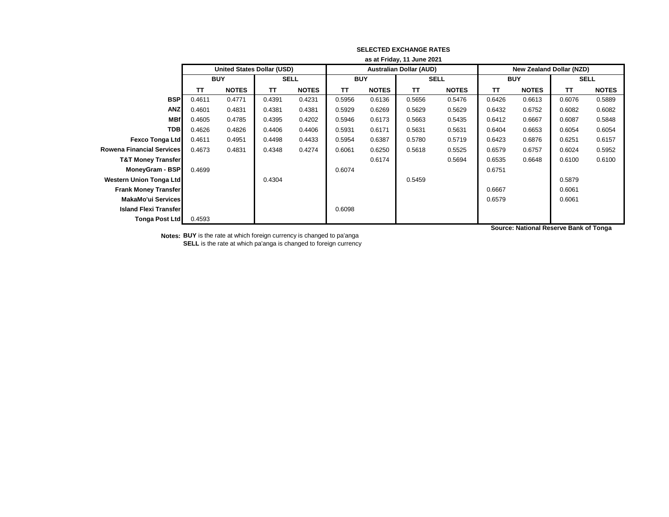|                               | as at Friday, 11 June 2021 |                                   |        |                           |           |              |                                |              |                                 |              |        |              |
|-------------------------------|----------------------------|-----------------------------------|--------|---------------------------|-----------|--------------|--------------------------------|--------------|---------------------------------|--------------|--------|--------------|
|                               |                            | <b>United States Dollar (USD)</b> |        |                           |           |              | <b>Australian Dollar (AUD)</b> |              | <b>New Zealand Dollar (NZD)</b> |              |        |              |
|                               | <b>BUY</b>                 |                                   |        | <b>SELL</b><br><b>BUY</b> |           | <b>SELL</b>  |                                | <b>BUY</b>   |                                 | <b>SELL</b>  |        |              |
|                               | TΤ                         | <b>NOTES</b>                      | TΤ     | <b>NOTES</b>              | <b>TT</b> | <b>NOTES</b> | TΤ                             | <b>NOTES</b> | TΤ                              | <b>NOTES</b> | TΤ     | <b>NOTES</b> |
| <b>BSP</b>                    | 0.4611                     | 0.4771                            | 0.4391 | 0.4231                    | 0.5956    | 0.6136       | 0.5656                         | 0.5476       | 0.6426                          | 0.6613       | 0.6076 | 0.5889       |
| <b>ANZ</b>                    | 0.4601                     | 0.4831                            | 0.4381 | 0.4381                    | 0.5929    | 0.6269       | 0.5629                         | 0.5629       | 0.6432                          | 0.6752       | 0.6082 | 0.6082       |
| <b>MBf</b>                    | 0.4605                     | 0.4785                            | 0.4395 | 0.4202                    | 0.5946    | 0.6173       | 0.5663                         | 0.5435       | 0.6412                          | 0.6667       | 0.6087 | 0.5848       |
| <b>TDB</b>                    | 0.4626                     | 0.4826                            | 0.4406 | 0.4406                    | 0.5931    | 0.6171       | 0.5631                         | 0.5631       | 0.6404                          | 0.6653       | 0.6054 | 0.6054       |
| <b>Fexco Tonga Ltd</b>        | 0.4611                     | 0.4951                            | 0.4498 | 0.4433                    | 0.5954    | 0.6387       | 0.5780                         | 0.5719       | 0.6423                          | 0.6876       | 0.6251 | 0.6157       |
| Rowena Financial Services     | 0.4673                     | 0.4831                            | 0.4348 | 0.4274                    | 0.6061    | 0.6250       | 0.5618                         | 0.5525       | 0.6579                          | 0.6757       | 0.6024 | 0.5952       |
| <b>T&amp;T Money Transfer</b> |                            |                                   |        |                           |           | 0.6174       |                                | 0.5694       | 0.6535                          | 0.6648       | 0.6100 | 0.6100       |
| MoneyGram - BSP               | 0.4699                     |                                   |        |                           | 0.6074    |              |                                |              | 0.6751                          |              |        |              |
| Western Union Tonga Ltd       |                            |                                   | 0.4304 |                           |           |              | 0.5459                         |              |                                 |              | 0.5879 |              |
| <b>Frank Money Transfer</b>   |                            |                                   |        |                           |           |              |                                |              | 0.6667                          |              | 0.6061 |              |
| MakaMo'ui Services            |                            |                                   |        |                           |           |              |                                |              | 0.6579                          |              | 0.6061 |              |
| <b>Island Flexi Transfer</b>  |                            |                                   |        |                           | 0.6098    |              |                                |              |                                 |              |        |              |
| <b>Tonga Post Ltd</b>         | 0.4593                     |                                   |        |                           |           |              |                                |              |                                 |              |        |              |

**Notes: BUY** is the rate at which foreign currency is changed to pa'anga **SELL** is the rate at which pa'anga is changed to foreign currency **Source: National Reserve Bank of Tonga**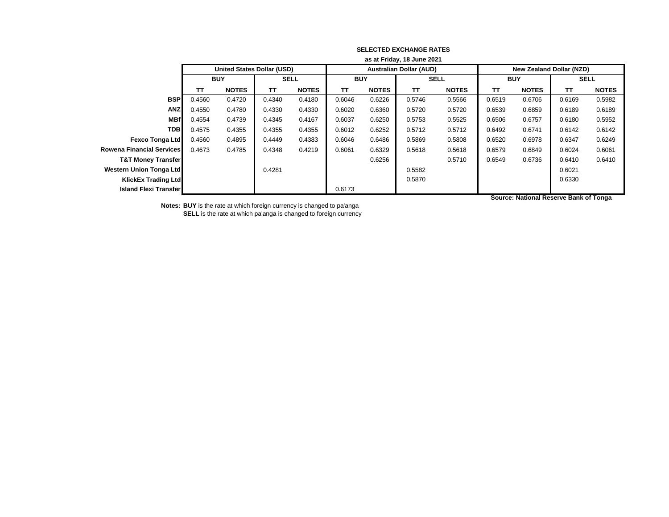|                                  | as at Friday, 18 June 2021        |              |             |              |            |              |                                |              |                                 |              |             |              |
|----------------------------------|-----------------------------------|--------------|-------------|--------------|------------|--------------|--------------------------------|--------------|---------------------------------|--------------|-------------|--------------|
|                                  | <b>United States Dollar (USD)</b> |              |             |              |            |              | <b>Australian Dollar (AUD)</b> |              | <b>New Zealand Dollar (NZD)</b> |              |             |              |
|                                  | <b>BUY</b>                        |              | <b>SELL</b> |              | <b>BUY</b> |              | <b>SELL</b>                    |              | <b>BUY</b>                      |              | <b>SELL</b> |              |
|                                  | TΤ                                | <b>NOTES</b> | TΤ          | <b>NOTES</b> | TΤ         | <b>NOTES</b> | TΤ                             | <b>NOTES</b> | TΤ                              | <b>NOTES</b> | <b>TT</b>   | <b>NOTES</b> |
| <b>BSP</b>                       | 0.4560                            | 0.4720       | 0.4340      | 0.4180       | 0.6046     | 0.6226       | 0.5746                         | 0.5566       | 0.6519                          | 0.6706       | 0.6169      | 0.5982       |
| <b>ANZ</b>                       | 0.4550                            | 0.4780       | 0.4330      | 0.4330       | 0.6020     | 0.6360       | 0.5720                         | 0.5720       | 0.6539                          | 0.6859       | 0.6189      | 0.6189       |
| <b>MBf</b>                       | 0.4554                            | 0.4739       | 0.4345      | 0.4167       | 0.6037     | 0.6250       | 0.5753                         | 0.5525       | 0.6506                          | 0.6757       | 0.6180      | 0.5952       |
| <b>TDB</b>                       | 0.4575                            | 0.4355       | 0.4355      | 0.4355       | 0.6012     | 0.6252       | 0.5712                         | 0.5712       | 0.6492                          | 0.6741       | 0.6142      | 0.6142       |
| <b>Fexco Tonga Ltd</b>           | 0.4560                            | 0.4895       | 0.4449      | 0.4383       | 0.6046     | 0.6486       | 0.5869                         | 0.5808       | 0.6520                          | 0.6978       | 0.6347      | 0.6249       |
| <b>Rowena Financial Services</b> | 0.4673                            | 0.4785       | 0.4348      | 0.4219       | 0.6061     | 0.6329       | 0.5618                         | 0.5618       | 0.6579                          | 0.6849       | 0.6024      | 0.6061       |
| <b>T&amp;T Money Transfer</b>    |                                   |              |             |              |            | 0.6256       |                                | 0.5710       | 0.6549                          | 0.6736       | 0.6410      | 0.6410       |
| Western Union Tonga Ltd          |                                   |              | 0.4281      |              |            |              | 0.5582                         |              |                                 |              | 0.6021      |              |
| <b>KlickEx Trading Ltd</b>       |                                   |              |             |              |            |              | 0.5870                         |              |                                 |              | 0.6330      |              |
| <b>Island Flexi Transfer</b>     |                                   |              |             |              | 0.6173     |              |                                |              |                                 |              |             |              |
|                                  |                                   |              |             |              |            |              |                                |              |                                 | .            | - - --      |              |

**Notes: BUY** is the rate at which foreign currency is changed to pa'anga **SELL** is the rate at which pa'anga is changed to foreign currency **Source: National Reserve Bank of Tonga**